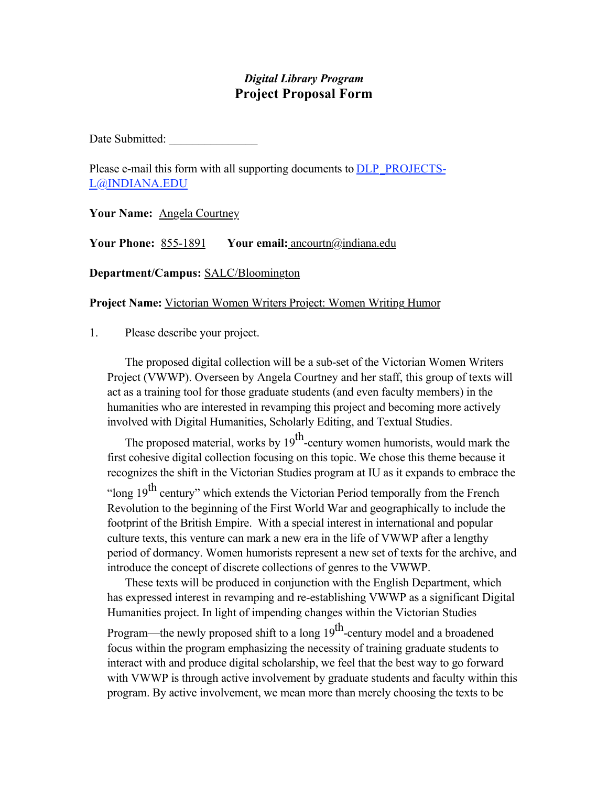# *Digital Library Program* **Project Proposal Form**

Date Submitted:

Please e-mail this form with all supporting documents to **DLP\_PROJECTS-**L@INDIANA.EDU

**Your Name:** Angela Courtney

**Your Phone:** 855-1891 **Your email:** ancourtn@indiana.edu

**Department/Campus:** SALC/Bloomington

**Project Name:** Victorian Women Writers Project: Women Writing Humor

1. Please describe your project.

The proposed digital collection will be a sub-set of the Victorian Women Writers Project (VWWP). Overseen by Angela Courtney and her staff, this group of texts will act as a training tool for those graduate students (and even faculty members) in the humanities who are interested in revamping this project and becoming more actively involved with Digital Humanities, Scholarly Editing, and Textual Studies.

The proposed material, works by  $19<sup>th</sup>$ -century women humorists, would mark the first cohesive digital collection focusing on this topic. We chose this theme because it recognizes the shift in the Victorian Studies program at IU as it expands to embrace the "long  $19<sup>th</sup>$  century" which extends the Victorian Period temporally from the French Revolution to the beginning of the First World War and geographically to include the footprint of the British Empire. With a special interest in international and popular culture texts, this venture can mark a new era in the life of VWWP after a lengthy period of dormancy. Women humorists represent a new set of texts for the archive, and introduce the concept of discrete collections of genres to the VWWP.

These texts will be produced in conjunction with the English Department, which has expressed interest in revamping and re-establishing VWWP as a significant Digital Humanities project. In light of impending changes within the Victorian Studies

Program—the newly proposed shift to a long  $19<sup>th</sup>$ -century model and a broadened focus within the program emphasizing the necessity of training graduate students to interact with and produce digital scholarship, we feel that the best way to go forward with VWWP is through active involvement by graduate students and faculty within this program. By active involvement, we mean more than merely choosing the texts to be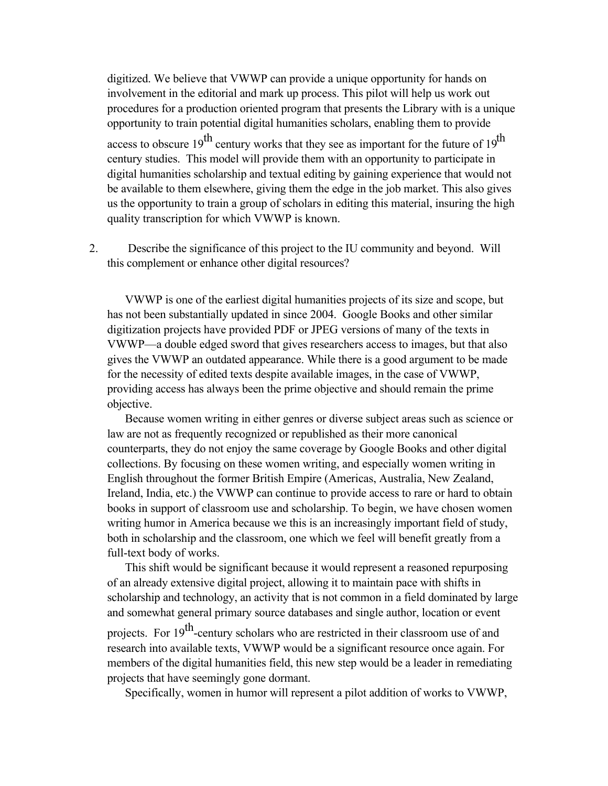digitized. We believe that VWWP can provide a unique opportunity for hands on involvement in the editorial and mark up process. This pilot will help us work out procedures for a production oriented program that presents the Library with is a unique opportunity to train potential digital humanities scholars, enabling them to provide access to obscure  $19^{th}$  century works that they see as important for the future of  $19^{th}$ century studies. This model will provide them with an opportunity to participate in digital humanities scholarship and textual editing by gaining experience that would not be available to them elsewhere, giving them the edge in the job market. This also gives us the opportunity to train a group of scholars in editing this material, insuring the high quality transcription for which VWWP is known.

2. Describe the significance of this project to the IU community and beyond. Will this complement or enhance other digital resources?

VWWP is one of the earliest digital humanities projects of its size and scope, but has not been substantially updated in since 2004. Google Books and other similar digitization projects have provided PDF or JPEG versions of many of the texts in VWWP—a double edged sword that gives researchers access to images, but that also gives the VWWP an outdated appearance. While there is a good argument to be made for the necessity of edited texts despite available images, in the case of VWWP, providing access has always been the prime objective and should remain the prime objective.

Because women writing in either genres or diverse subject areas such as science or law are not as frequently recognized or republished as their more canonical counterparts, they do not enjoy the same coverage by Google Books and other digital collections. By focusing on these women writing, and especially women writing in English throughout the former British Empire (Americas, Australia, New Zealand, Ireland, India, etc.) the VWWP can continue to provide access to rare or hard to obtain books in support of classroom use and scholarship. To begin, we have chosen women writing humor in America because we this is an increasingly important field of study, both in scholarship and the classroom, one which we feel will benefit greatly from a full-text body of works.

This shift would be significant because it would represent a reasoned repurposing of an already extensive digital project, allowing it to maintain pace with shifts in scholarship and technology, an activity that is not common in a field dominated by large and somewhat general primary source databases and single author, location or event

projects. For 19<sup>th</sup>-century scholars who are restricted in their classroom use of and research into available texts, VWWP would be a significant resource once again. For members of the digital humanities field, this new step would be a leader in remediating projects that have seemingly gone dormant.

Specifically, women in humor will represent a pilot addition of works to VWWP,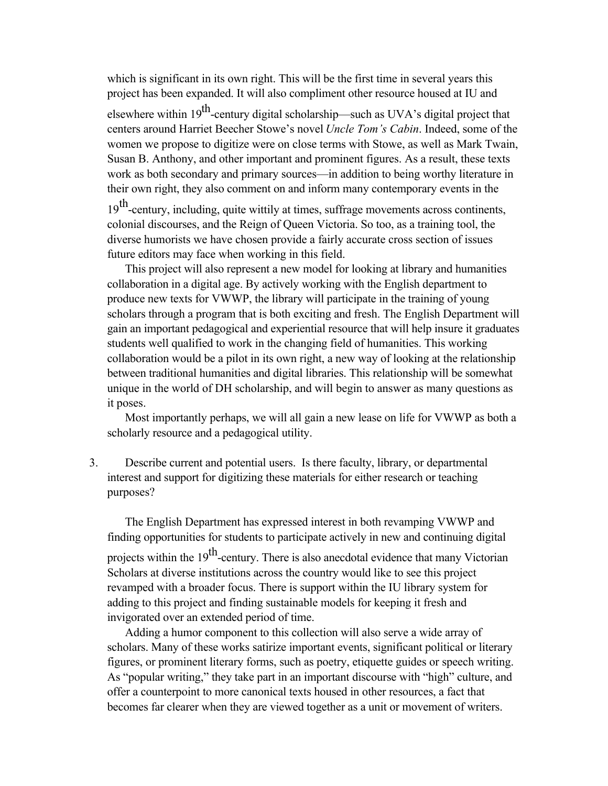which is significant in its own right. This will be the first time in several years this project has been expanded. It will also compliment other resource housed at IU and

elsewhere within 19<sup>th</sup>-century digital scholarship—such as UVA's digital project that centers around Harriet Beecher Stowe's novel *Uncle Tom's Cabin*. Indeed, some of the women we propose to digitize were on close terms with Stowe, as well as Mark Twain, Susan B. Anthony, and other important and prominent figures. As a result, these texts work as both secondary and primary sources—in addition to being worthy literature in their own right, they also comment on and inform many contemporary events in the

19<sup>th</sup>-century, including, quite wittily at times, suffrage movements across continents, colonial discourses, and the Reign of Queen Victoria. So too, as a training tool, the diverse humorists we have chosen provide a fairly accurate cross section of issues future editors may face when working in this field.

This project will also represent a new model for looking at library and humanities collaboration in a digital age. By actively working with the English department to produce new texts for VWWP, the library will participate in the training of young scholars through a program that is both exciting and fresh. The English Department will gain an important pedagogical and experiential resource that will help insure it graduates students well qualified to work in the changing field of humanities. This working collaboration would be a pilot in its own right, a new way of looking at the relationship between traditional humanities and digital libraries. This relationship will be somewhat unique in the world of DH scholarship, and will begin to answer as many questions as it poses.

Most importantly perhaps, we will all gain a new lease on life for VWWP as both a scholarly resource and a pedagogical utility.

3. Describe current and potential users. Is there faculty, library, or departmental interest and support for digitizing these materials for either research or teaching purposes?

The English Department has expressed interest in both revamping VWWP and finding opportunities for students to participate actively in new and continuing digital projects within the  $19<sup>th</sup>$ -century. There is also anecdotal evidence that many Victorian Scholars at diverse institutions across the country would like to see this project revamped with a broader focus. There is support within the IU library system for adding to this project and finding sustainable models for keeping it fresh and invigorated over an extended period of time.

Adding a humor component to this collection will also serve a wide array of scholars. Many of these works satirize important events, significant political or literary figures, or prominent literary forms, such as poetry, etiquette guides or speech writing. As "popular writing," they take part in an important discourse with "high" culture, and offer a counterpoint to more canonical texts housed in other resources, a fact that becomes far clearer when they are viewed together as a unit or movement of writers.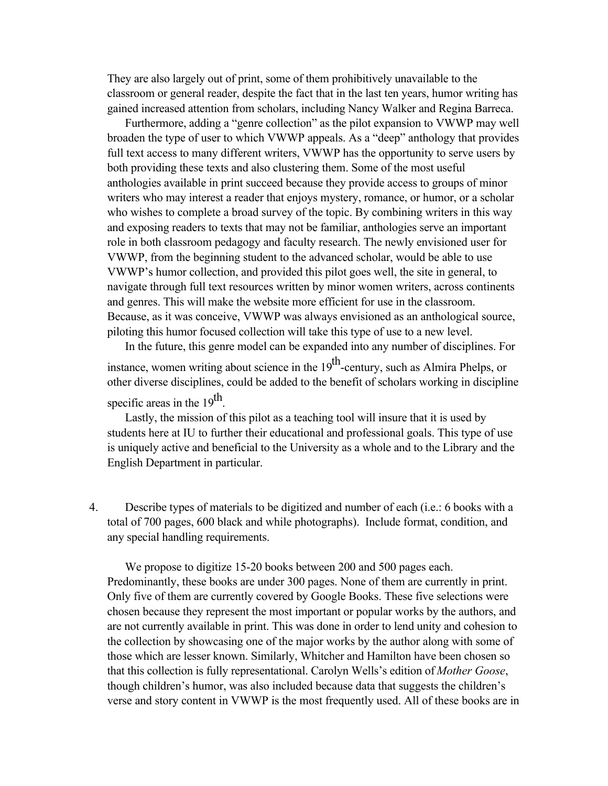They are also largely out of print, some of them prohibitively unavailable to the classroom or general reader, despite the fact that in the last ten years, humor writing has gained increased attention from scholars, including Nancy Walker and Regina Barreca.

Furthermore, adding a "genre collection" as the pilot expansion to VWWP may well broaden the type of user to which VWWP appeals. As a "deep" anthology that provides full text access to many different writers, VWWP has the opportunity to serve users by both providing these texts and also clustering them. Some of the most useful anthologies available in print succeed because they provide access to groups of minor writers who may interest a reader that enjoys mystery, romance, or humor, or a scholar who wishes to complete a broad survey of the topic. By combining writers in this way and exposing readers to texts that may not be familiar, anthologies serve an important role in both classroom pedagogy and faculty research. The newly envisioned user for VWWP, from the beginning student to the advanced scholar, would be able to use VWWP's humor collection, and provided this pilot goes well, the site in general, to navigate through full text resources written by minor women writers, across continents and genres. This will make the website more efficient for use in the classroom. Because, as it was conceive, VWWP was always envisioned as an anthological source, piloting this humor focused collection will take this type of use to a new level.

In the future, this genre model can be expanded into any number of disciplines. For instance, women writing about science in the  $19<sup>th</sup>$ -century, such as Almira Phelps, or other diverse disciplines, could be added to the benefit of scholars working in discipline specific areas in the 19<sup>th</sup>.

Lastly, the mission of this pilot as a teaching tool will insure that it is used by students here at IU to further their educational and professional goals. This type of use is uniquely active and beneficial to the University as a whole and to the Library and the English Department in particular.

4. Describe types of materials to be digitized and number of each (i.e.: 6 books with a total of 700 pages, 600 black and while photographs). Include format, condition, and any special handling requirements.

We propose to digitize 15-20 books between 200 and 500 pages each. Predominantly, these books are under 300 pages. None of them are currently in print. Only five of them are currently covered by Google Books. These five selections were chosen because they represent the most important or popular works by the authors, and are not currently available in print. This was done in order to lend unity and cohesion to the collection by showcasing one of the major works by the author along with some of those which are lesser known. Similarly, Whitcher and Hamilton have been chosen so that this collection is fully representational. Carolyn Wells's edition of *Mother Goose*, though children's humor, was also included because data that suggests the children's verse and story content in VWWP is the most frequently used. All of these books are in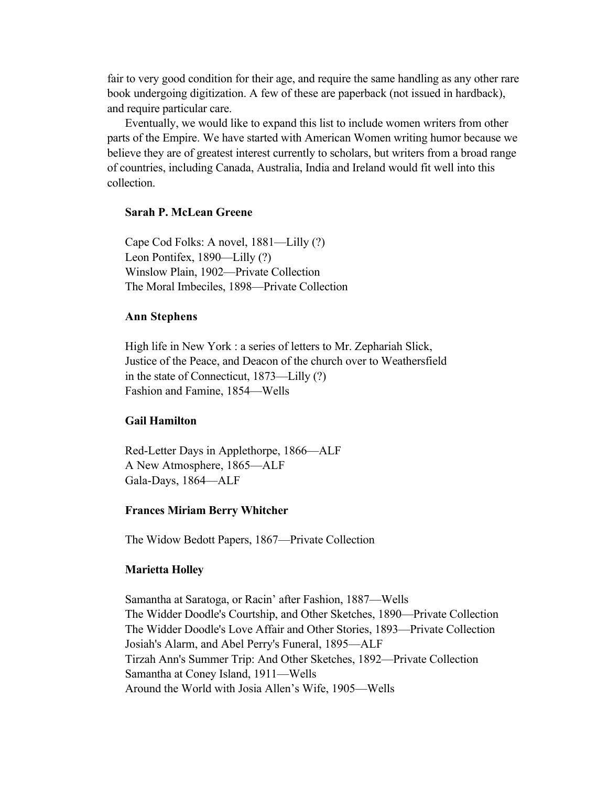fair to very good condition for their age, and require the same handling as any other rare book undergoing digitization. A few of these are paperback (not issued in hardback), and require particular care.

Eventually, we would like to expand this list to include women writers from other parts of the Empire. We have started with American Women writing humor because we believe they are of greatest interest currently to scholars, but writers from a broad range of countries, including Canada, Australia, India and Ireland would fit well into this collection.

### **Sarah P. McLean Greene**

Cape Cod Folks: A novel, 1881—Lilly (?) Leon Pontifex, 1890—Lilly (?) Winslow Plain, 1902—Private Collection The Moral Imbeciles, 1898—Private Collection

### **Ann Stephens**

High life in New York : a series of letters to Mr. Zephariah Slick, Justice of the Peace, and Deacon of the church over to Weathersfield in the state of Connecticut, 1873—Lilly (?) Fashion and Famine, 1854—Wells

### **Gail Hamilton**

Red-Letter Days in Applethorpe, 1866—ALF A New Atmosphere, 1865—ALF Gala-Days, 1864—ALF

#### **Frances Miriam Berry Whitcher**

The Widow Bedott Papers, 1867—Private Collection

#### **Marietta Holley**

Samantha at Saratoga, or Racin' after Fashion, 1887—Wells The Widder Doodle's Courtship, and Other Sketches, 1890—Private Collection The Widder Doodle's Love Affair and Other Stories, 1893—Private Collection Josiah's Alarm, and Abel Perry's Funeral, 1895—ALF Tirzah Ann's Summer Trip: And Other Sketches, 1892—Private Collection Samantha at Coney Island, 1911—Wells Around the World with Josia Allen's Wife, 1905—Wells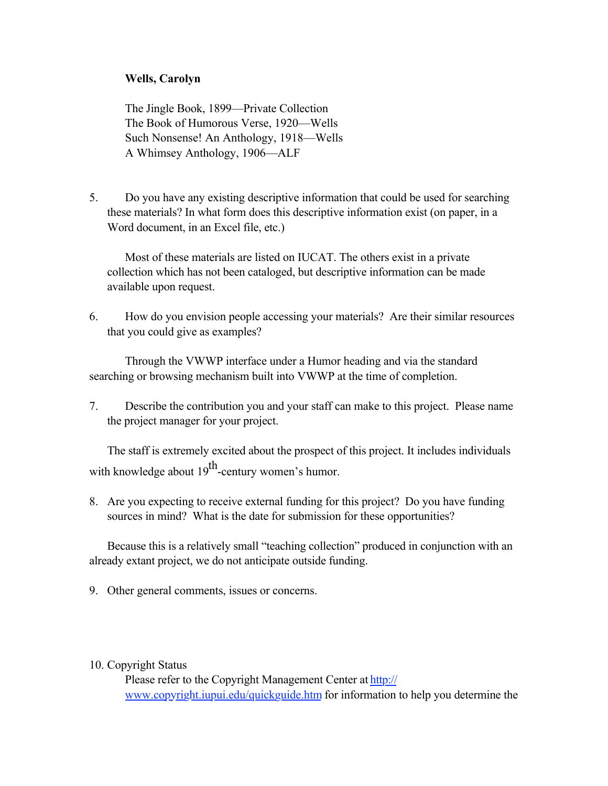## **Wells, Carolyn**

The Jingle Book, 1899—Private Collection The Book of Humorous Verse, 1920—Wells Such Nonsense! An Anthology, 1918—Wells A Whimsey Anthology, 1906—ALF

5. Do you have any existing descriptive information that could be used for searching these materials? In what form does this descriptive information exist (on paper, in a Word document, in an Excel file, etc.)

Most of these materials are listed on IUCAT. The others exist in a private collection which has not been cataloged, but descriptive information can be made available upon request.

6. How do you envision people accessing your materials? Are their similar resources that you could give as examples?

Through the VWWP interface under a Humor heading and via the standard searching or browsing mechanism built into VWWP at the time of completion.

7. Describe the contribution you and your staff can make to this project. Please name the project manager for your project.

The staff is extremely excited about the prospect of this project. It includes individuals with knowledge about  $19^{th}$ -century women's humor.

8. Are you expecting to receive external funding for this project? Do you have funding sources in mind? What is the date for submission for these opportunities?

Because this is a relatively small "teaching collection" produced in conjunction with an already extant project, we do not anticipate outside funding.

- 9. Other general comments, issues or concerns.
- 10. Copyright Status

Please refer to the Copyright Management Center at http:// www.copyright.iupui.edu/quickguide.htm for information to help you determine the